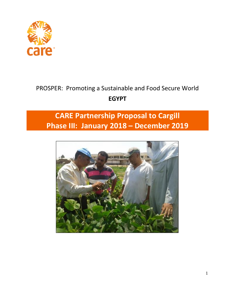

# PROSPER: Promoting a Sustainable and Food Secure World **EGYPT**

# **CARE Partnership Proposal to Cargill Phase III: January 2018 – December 2019**

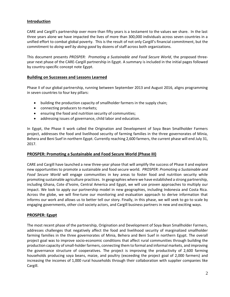# **Introduction**

CARE and Cargill's partnership over more than fifty years is a testament to the values we share. In the last three years alone we have impacted the lives of more than 300,000 individuals across seven countries in a unified effort to combat global poverty. This is the result of not only Cargill's financial commitment, but the commitment to *doing well by doing good* by dozens of staff across both organizations.

This document presents *PROSPER: Promoting a Sustainable and Food Secure World*, the proposed threeyear next phase of the CARE-Cargill partnership in Egypt. A summary is included in the initial pages followed by country-specific concept note Egypt.

#### **Building on Successes and Lessons Learned**

Phase II of our global partnership, running between September 2013 and August 2016, aligns programming in seven countries to four key pillars:

- building the production capacity of smallholder farmers in the supply chain;
- connecting producers to markets;
- ensuring the food and nutrition security of communities;
- addressing issues of governance, child labor and education.

In Egypt, the Phase II work called the Origination and Development of Soya Bean Smallholder Farmers project, addresses the food and livelihood security of farming families in the three governorates of Minia, Behera and Beni Suef in northern Egypt. Currently reaching 2,600 farmers, the current phase will end July 31, 2017.

#### **PROSPER: Promoting a Sustainable and Food Secure World (Phase III)**

CARE and Cargill have launched a new three-year phase that will amplify the success of Phase II and explore new opportunities to promote a sustainable and food secure world. *PROSPER: Promoting a Sustainable and Food Secure World* will engage communities in key areas to foster food and nutrition security while promoting sustainable agriculture practices. In geographies where we have established a strong partnership, including Ghana, Cote d'Ivoire, Central America and Egypt, we will use proven approaches to multiply our impact. We look to apply our partnership model in new geographies, including Indonesia and Costa Rica. Across the globe, we will fine-tune our monitoring and evaluation approach to derive information that informs our work and allows us to better tell our story. Finally, in this phase, we will seek to go to scale by engaging governments, other civil society actors, and Cargill business partners in new and exciting ways.

#### **PROSPER: Egypt**

The most recent phase of the partnership, Origination and Development of Soya Bean Smallholder Farmers, addresses challenges that negatively affect the food and livelihood security of marginalized smallholder farming families in the three governorates of Minia, Behera and Beni Suef in northern Egypt. The overall project goal was to improve socio-economic conditions that affect rural communities through building the production capacity of small-holder farmers, connecting them to formal and informal markets, and improving the governance structure of cooperatives. The project is improving the productivity of 2,600 farming households producing soya beans, maize, and poultry (exceeding the project goal of 2,000 farmers) and increasing the incomes of 1,000 rural households through their collaboration with supplier companies like Cargill.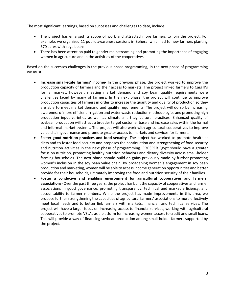The most significant learnings, based on successes and challenges to date, include:

- The project has enlarged its scope of work and attracted more farmers to join the project. For example, we organized 11 public awareness sessions in Behera, which led to new farmers planting 370 acres with soya beans.
- There has been attention paid to gender mainstreaming and promoting the importance of engaging women in agriculture and in the activities of the cooperatives.

Based on the successes challenges in the previous phase programming, in the next phase of programming we must:

- **Increase small-scale farmers' income-** In the previous phase, the project worked to improve the production capacity of farmers and their access to markets. The project linked farmers to Cargill's formal market, however, meeting market demand and soy bean quality requirements were challenges faced by many of farmers. In the next phase, the project will continue to improve production capacities of farmers in order to increase the quantity and quality of production so they are able to meet market demand and quality requirements. The project will do so by increasing awareness of more efficient irrigation and water waste reduction methodologies and promoting high production input varieties as well as climate-smart agricultural practices. Enhanced quality of soybean production will attract a broader target customer base and increase sales within the formal and informal market systems. The project will also work with agricultural cooperatives to improve value chain governance and promote greater access to markets and services for farmers.
- **Foster good nutrition practices and food security-** The project has worked to promote healthier diets and to foster food security and proposes the continuation and strengthening of food security and nutrition activities in the next phase of programming. PROSPER Egypt should have a greater focus on nutrition, promoting healthy nutrition behaviors and dietary diversity across small-holder farming households. The next phase should build on gains previously made by further promoting women's inclusion in the soy bean value chain. By broadening women's engagement in soy bean production and marketing, women will be able to access income generation opportunities and better provide for their households, ultimately improving the food and nutrition security of their families.
- **Foster a conducive and enabling environment for agricultural cooperatives and farmers' associations-** Over the past three years, the project has built the capacity of cooperatives and farmer associations in good governance, promoting transparency, technical and market efficiency, and accountability to farmer members. While the project has made improvements in this area, we propose further strengthening the capacities of agricultural farmers' associations to more effectively meet local needs and to better link farmers with markets, financial, and technical services. The project will have a larger focus on increasing access to financial services, working with agricultural cooperatives to promote VSLAs as a platform for increasing women access to credit and small loans. This will provide a way of financing soybean production among small-holder farmers supported by the project.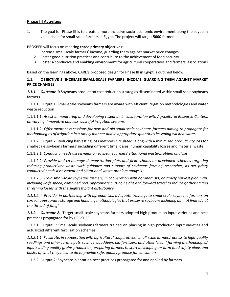#### **Phase III Activities**

1. The goal for Phase III is to create a more inclusive socio-economic environment along the soybean value chain for small-scale farmers in Egypt. The project will target **5000** farmers.

PROSPER will focus on meeting **three primary objectives**:

- 1. Increase small-scale farmers' income, guarding them against market price changes
- 2. Foster good nutrition practices and contribute to the achievement of food security
- 3. Foster a conducive and enabling environment for agricultural cooperatives and farmers' associations

Based on the learnings above, CARE's proposed design for Phase III in Egypt is outlined below:

#### **1.1. OBJECTIVE 1: INCREASE SMALL-SCALE FARMERS' INCOME, GUARDING THEM AGAINST MARKET PRICE CHANGES**

*1.1.1. Outcome 1:* Soybeans production cost reduction strategies disseminated within small-scale soybeans farmers

1.1.1.1. Output 1: Small-scale soybeans farmers are aware with efficient irrigation methodologies and water waste reduction

1.1.1.1.1: *Assist in monitoring and developing research, in collaboration with Agricultural Research Centers, on varying, innovative and less wasteful irrigation systems.*

1.1.1.1.2: *Offer awareness sessions for new and old small-scale soybeans farmers aiming to propagate for methodologies of irrigation in a timely manner and in appropriate quantities lessening wasted water.*

1.1.1.2. Output 2: Reducing harvesting loss methods circulated, along with a minimized productivity loss for small-scale soybeans farmers' including different time losses, human capability losses and material waste

1.1.1.2.1: *Conduct a needs assessment on soybeans farmers' situational waste-problem analysis*

1.1.1.2.2: *Provide and co-manage demonstration plots and field schools on developed schemes targeting reducing productivity waste with guidance and support of soybeans farming researcher, as per priory conducted needs assessment and situational waste-problem analysis*

1.1.1.2.3: *Train small-scale soybeans farmers, in cooperation with agronomists, on timely harvest plan map, including knife speed, combined reel, appropriate cutting height and forward travel to reduce gathering and threshing losses with the slightest plant disturbance*

*1.1.1.2.4: Provide, in partnership with agronomists, adequate trainings to small-scale soybeans farmers on correct appropriate storage and handling methodologiesthat preserve soybeansincluding but not limited not the thread of fungi*

*1.1.2. Outcome 2:* Target small-scale soybeans farmers adopted high production input varieties and best practices propagated for by PROSPER.

1.1.2.1 Output 1: Small-scale soybeans farmers trained on phasing in high production input varieties and actualized different fertilization schemes

*1.1.2.1.1: Facilitate, in cooperation with agricultural cooperatives, small-scale farmers' access to high-quality seedlings and other farm inputs such as 'aqaddeen, bio-fertilizers and other 'clean' farming methodologies' inputs aiding quality grains production, preparing farmers to start developing on-farm food safety plans and basics of what they need to do to provide safe, quality produce for consumers.*

1.1.2.2. Output 2: Soybeans plantation best practices propagated for and applied by farmers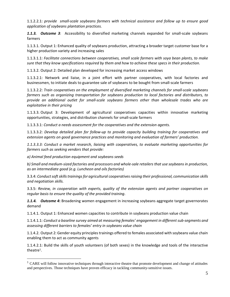1.1.2.2.1: *provide small-scale soybeans farmers with technical assistance and follow up to ensure good application of soybeans plantation practices.*

*1.1.3. Outcome 3*: Accessibility to diversified marketing channels expanded for small-scale soybeans farmers

1.1.3.1. Output 1: Enhanced quality of soybeans production, attracting a broader target customer base for a higher production variety and increasing sales

1.1.3.1.1: *Facilitate connections between cooperatives, small scale farmers with soya bean plants, to make sure that they know specifications required by them and how to achieve these specs in their production.*

1.1.3.2. Output 2: Detailed plan developed for increasing market access windows

1.1.3.2.1: Network and liaise, in a joint effort with partner cooperatives, with local factories and businessmen, to initiate deals to guarantee sale of soybeans to be bought from small-scale farmers

1.1.3.2.2: *Train cooperatives on the employment of diversified marketing channels for small-scale soybeans farmers such as organizing transportation for soybeans production to local factories and distributors, to provide an additional outlet for small-scale soybeans farmers other than wholesale trades who are exploitative in their pricing*

1.1.3.3. Output 3: Development of agricultural cooperatives capacities within innovative marketing opportunities, strategies, and distribution channels for small-scale farmers

1.1.3.3.1: *Conduct a needs assessment for the cooperatives and the extension agents.*

1.1.3.3.2: *Develop detailed plan for follow-up to provide capacity building training for cooperatives and extension agents on good governance practices and monitoring and evaluation of farmers' production.*

*1.1.3.3.3: Conduct a market research, liaising with cooperatives, to evaluate marketing opportunities for farmers such as seeking vendors that provide:*

*a) Animal feed production equipment and soybeans seeds*

 $\overline{a}$ 

*b) Small and medium-sized factories and processors and whole-sale retailers that use soybeans in production, as an intermediate good (e.g. Luncheon and oils factories)*

3.3.4: *Conductsoftskillstrainingsfor agricultural cooperativesraising their professional, communication skills and negotiation skills.*

3.3.5: *Review, in cooperation with experts, quality of the extension agents and partner cooperatives on regular basis to ensure the quality of the provided training*.

*1.1.4. Outcome 4***:** Broadening women engagement in increasing soybeans aggregate target governorates demand

1.1.4.1. Output 1: Enhanced women capacities to contribute in soybeans production value chain

1.1.4.1.1: *Conduct a baseline survey aimed at measuring females' engagement in different sub-segments and assessing different barriers to females' entry in soybeans value chain*

1.1.4.2. Output 2: Gender equity principlestrainings offered to females associated with soybeans value chain enabling them to act as community agents

1.1.4.2.1: Build the skills of youth volunteers (of both sexes) in the knowledge and tools of the interactive theatre<sup>1</sup>.

<sup>&</sup>lt;sup>1</sup> CARE will follow innovative techniques through interactive theatre that promote development and change of attitudes and perspectives. Those techniques have proven efficacy in tackling community-sensitive issues.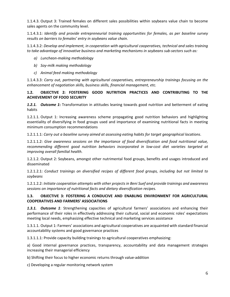1.1.4.3. Output 3: Trained females on different sales possibilities within soybeans value chain to become sales agents on the community level.

1.1.4.3.1: *Identify and provide entrepreneurial training opportunities for females, as per baseline survey results on barriers to females' entry in soybeans value chain.*

1.1.4.3.2: *Develop and implement, in cooperation with agricultural cooperatives, technical and sales training to take advantage of innovative business and marketing mechanisms in soybeans sub-sectors such as:*

- *a) Luncheon-making methodology*
- *b) Soy-milk making methodology*
- *c) Animal feed making methodology*

1.1.4.3.3: *Carry out, partnering with agricultural cooperatives, entrepreneurship trainings focusing on the enhancement of negotiation skills, business skills, financial management, etc.*

## **1.2. OBJECTIVE 2: FOSTERING GOOD NUTRITION PRACTICES AND CONTRIBUTING TO THE ACHIEVEMENT OF FOOD SECURITY**

*1.2.1. Outcome 1***:** Transformation in attitudes leaning towards good nutrition and betterment of eating habits

1.2.1.1. Output 1: Increasing awareness scheme propagating good nutrition behaviors and highlighting essentiality of diversifying in food groups used and importance of examining nutritional facts in meeting minimum consumption recommendations

1.2.1.1.1: *Carry out a baseline survey aimed at assessing eating habits for target geographical locations*.

1.2.1.1.2: *Give awareness sessions on the importance of food diversification and food nutritional value, recommending different good nutrition behaviors incorporated in low-cost diet varieties targeted at improving overall familial health.*

1.2.1.2. Output 2: Soybeans, amongst other nutrimental food groups, benefits and usages introduced and disseminated

1.2.1.2.1: *Conduct trainings on diversified recipes of different food groups, including but not limited to soybeans*

1.2.1.2.2: *Initiate cooperation attempts with other projects in Beni Suef and provide trainings and awareness sessions on importance of nutritional facts and dietary diversification recipes.*

### **1.3. OBJECTIVE 3: FOSTERING A CONDUCIVE AND ENABLING ENVIRONMENT FOR AGRICULTURAL COOPERATIVES AND FARMERS' ASSOCIATIONS**

*1.3.1. Outcome 1*: Strengthening capacities of agricultural farmers' associations and enhancing their performance of their roles in effectively addressing their cultural, social and economic roles' expectations meeting local needs, emphasizing effective technical and marketing services assistance

1.3.1.1. Output 1: Farmers' associations and agricultural cooperatives are acquainted with standard financial accountability systems and good governance practices

1.3.1.1.1: Provide capacity building trainings to agricultural cooperatives emphasizing:

a) Good internal governance practices, transparency, accountability and data management strategies increasing their managerial efficiency

b) Shifting their focus to higher economic returns through value-addition

c) Developing a regular monitoring network system